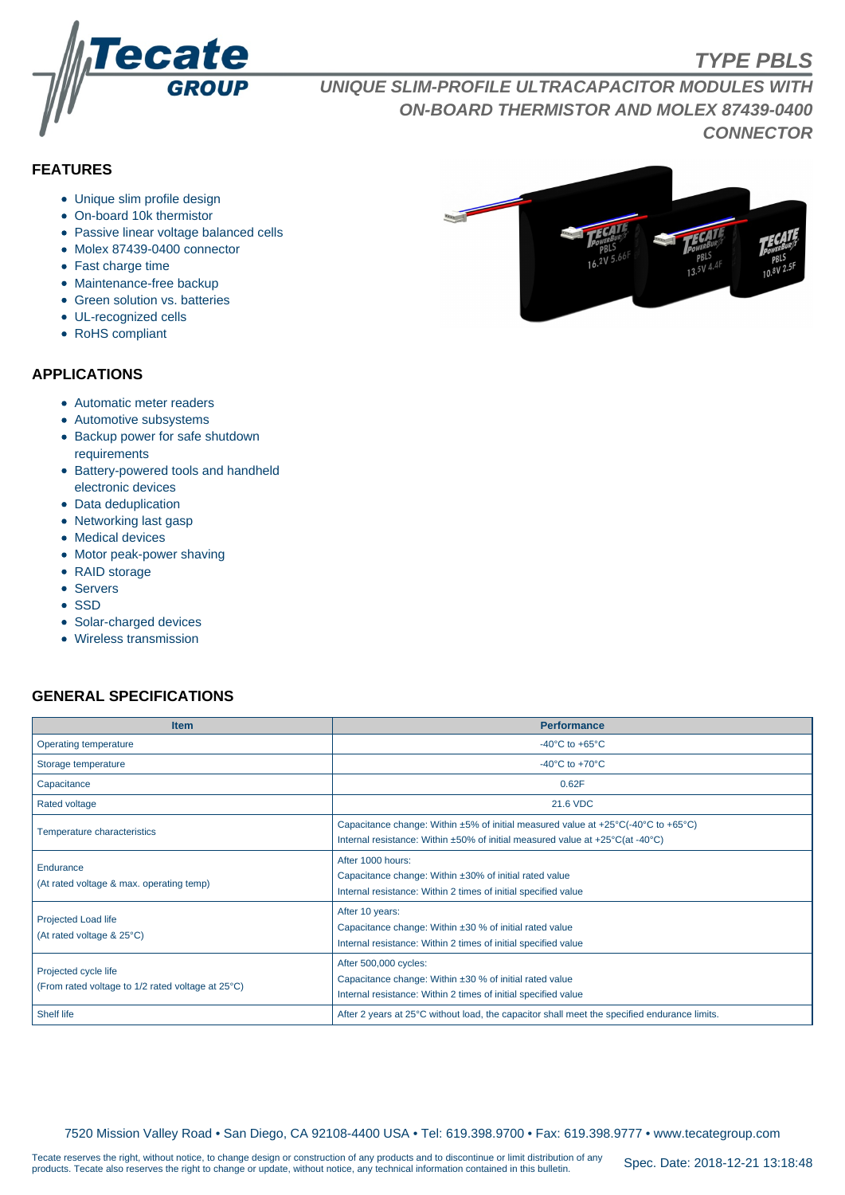

# **TYPE PBLS**

**UNIQUE SLIM-PROFILE ULTRACAPACITOR MODULES WITH ON-BOARD THERMISTOR AND MOLEX 87439-0400 CONNECTOR**

# **FEATURES**

- Unique slim profile design
- On-board 10k thermistor
- Passive linear voltage balanced cells
- Molex 87439-0400 connector
- Fast charge time
- Maintenance-free backup
- Green solution vs. batteries
- UL-recognized cells
- RoHS compliant

#### **APPLICATIONS**

- Automatic meter readers
- Automotive subsystems
- Backup power for safe shutdown requirements
- Battery-powered tools and handheld electronic devices
- Data deduplication
- Networking last gasp
- Medical devices
- Motor peak-power shaving
- RAID storage
- Servers
- SSD
- Solar-charged devices
- Wireless transmission

## **GENERAL SPECIFICATIONS**

| <b>Item</b>                                                               | <b>Performance</b>                                                                                                                                                                                                         |  |  |  |  |
|---------------------------------------------------------------------------|----------------------------------------------------------------------------------------------------------------------------------------------------------------------------------------------------------------------------|--|--|--|--|
| Operating temperature                                                     | -40 $^{\circ}$ C to +65 $^{\circ}$ C                                                                                                                                                                                       |  |  |  |  |
| Storage temperature                                                       | -40 $^{\circ}$ C to +70 $^{\circ}$ C                                                                                                                                                                                       |  |  |  |  |
| Capacitance                                                               | 0.62F                                                                                                                                                                                                                      |  |  |  |  |
| <b>Rated voltage</b>                                                      | 21.6 VDC                                                                                                                                                                                                                   |  |  |  |  |
| Temperature characteristics                                               | Capacitance change: Within $\pm 5\%$ of initial measured value at $\pm 25^{\circ}$ C(-40°C to $+65^{\circ}$ C)<br>Internal resistance: Within $\pm 50\%$ of initial measured value at $+25\degree C$ (at -40 $\degree C$ ) |  |  |  |  |
| Endurance<br>(At rated voltage & max. operating temp)                     | After 1000 hours:<br>Capacitance change: Within ±30% of initial rated value<br>Internal resistance: Within 2 times of initial specified value                                                                              |  |  |  |  |
| Projected Load life<br>(At rated voltage & 25°C)                          | After 10 years:<br>Capacitance change: Within $\pm 30$ % of initial rated value<br>Internal resistance: Within 2 times of initial specified value                                                                          |  |  |  |  |
| Projected cycle life<br>(From rated voltage to 1/2 rated voltage at 25°C) | After 500,000 cycles:<br>Capacitance change: Within ±30 % of initial rated value<br>Internal resistance: Within 2 times of initial specified value                                                                         |  |  |  |  |
| <b>Shelf life</b>                                                         | After 2 years at 25°C without load, the capacitor shall meet the specified endurance limits.                                                                                                                               |  |  |  |  |

7520 Mission Valley Road • San Diego, CA 92108-4400 USA • Tel: 619.398.9700 • Fax: 619.398.9777 • www.tecategroup.com